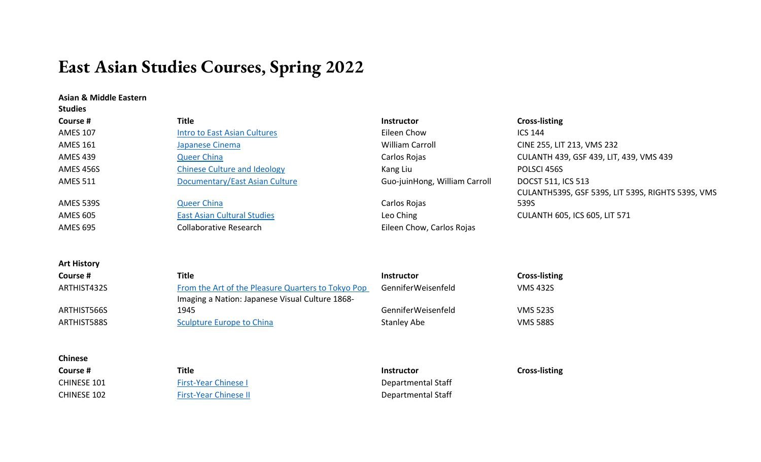# **East Asian Studies Courses, Spring 2022**

### **Asian & Middle Eastern**

**Art History**

| <b>Studies</b>  |                                     |                               |                                                   |
|-----------------|-------------------------------------|-------------------------------|---------------------------------------------------|
| Course #        | Title                               | <b>Instructor</b>             | <b>Cross-listing</b>                              |
| <b>AMES 107</b> | <b>Intro to East Asian Cultures</b> | Eileen Chow                   | <b>ICS 144</b>                                    |
| <b>AMES 161</b> | Japanese Cinema                     | <b>William Carroll</b>        | CINE 255, LIT 213, VMS 232                        |
| <b>AMES 439</b> | <b>Queer China</b>                  | Carlos Rojas                  | CULANTH 439, GSF 439, LIT, 439, VMS 439           |
| AMES 456S       | <b>Chinese Culture and Ideology</b> | Kang Liu                      | POLSCI 456S                                       |
| <b>AMES 511</b> | Documentary/East Asian Culture      | Guo-juinHong, William Carroll | <b>DOCST 511, ICS 513</b>                         |
|                 |                                     |                               | CULANTH539S, GSF 539S, LIT 539S, RIGHTS 539S, VMS |
| AMES 539S       | <b>Queer China</b>                  | Carlos Rojas                  | 539S                                              |
| <b>AMES 605</b> | <b>East Asian Cultural Studies</b>  | Leo Ching                     | <b>CULANTH 605, ICS 605, LIT 571</b>              |
| <b>AMES 695</b> | <b>Collaborative Research</b>       | Eileen Chow, Carlos Rojas     |                                                   |

| Course #    | Title                                              | <b>Instructor</b>  | <b>Cross-listing</b> |
|-------------|----------------------------------------------------|--------------------|----------------------|
| ARTHIST432S | From the Art of the Pleasure Quarters to Tokyo Pop | GenniferWeisenfeld | <b>VMS 432S</b>      |
|             | Imaging a Nation: Japanese Visual Culture 1868-    |                    |                      |
| ARTHIST566S | 1945                                               | GenniferWeisenfeld | <b>VMS 523S</b>      |
| ARTHIST588S | Sculpture Europe to China                          | <b>Stanley Abe</b> | <b>VMS 588S</b>      |

| Title                        | <b>Instructor</b>  | <b>Cross-listing</b> |
|------------------------------|--------------------|----------------------|
| <b>First-Year Chinese I</b>  | Departmental Staff |                      |
| <b>First-Year Chinese II</b> | Departmental Staff |                      |
|                              |                    |                      |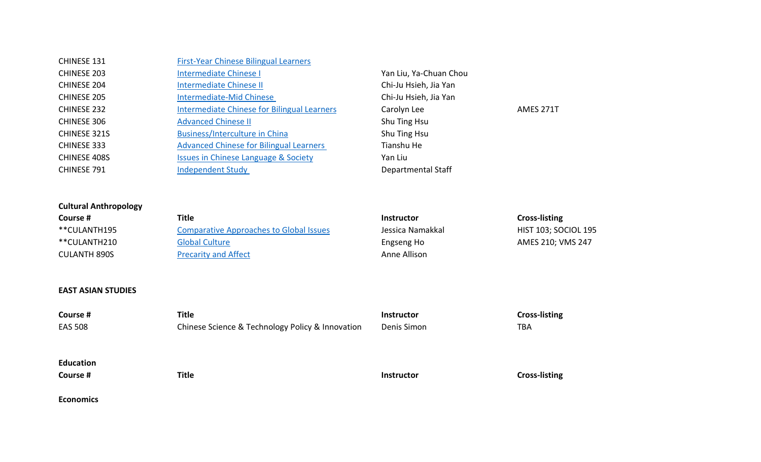| CHINESE 131         | <b>First-Year Chinese Bilingual Learners</b>       |                        |                  |
|---------------------|----------------------------------------------------|------------------------|------------------|
| <b>CHINESE 203</b>  | Intermediate Chinese I                             | Yan Liu, Ya-Chuan Chou |                  |
| CHINESE 204         | <b>Intermediate Chinese II</b>                     | Chi-Ju Hsieh, Jia Yan  |                  |
| <b>CHINESE 205</b>  | <b>Intermediate-Mid Chinese</b>                    | Chi-Ju Hsieh, Jia Yan  |                  |
| <b>CHINESE 232</b>  | <b>Intermediate Chinese for Bilingual Learners</b> | Carolyn Lee            | <b>AMES 271T</b> |
| CHINESE 306         | <b>Advanced Chinese II</b>                         | Shu Ting Hsu           |                  |
| <b>CHINESE 321S</b> | <b>Business/Interculture in China</b>              | Shu Ting Hsu           |                  |
| <b>CHINESE 333</b>  | <b>Advanced Chinese for Bilingual Learners</b>     | Tianshu He             |                  |
| CHINESE 408S        | <b>Issues in Chinese Language &amp; Society</b>    | Yan Liu                |                  |
| <b>CHINESE 791</b>  | <b>Independent Study</b>                           | Departmental Staff     |                  |
|                     |                                                    |                        |                  |

# **Cultural Anthropology**

| Course #     | Title                                          | <b>Instructor</b> | <b>Cross-listing</b>        |
|--------------|------------------------------------------------|-------------------|-----------------------------|
| **CULANTH195 | <b>Comparative Approaches to Global Issues</b> | Jessica Namakkal  | <b>HIST 103; SOCIOL 195</b> |
| **CULANTH210 | <b>Global Culture</b>                          | Engseng Ho        | AMES 210; VMS 247           |
| CULANTH 890S | <b>Precarity and Affect</b>                    | Anne Allison      |                             |

## **EAST ASIAN STUDIES**

| Course #         | <b>Title</b>                                     | Instructor        | <b>Cross-listing</b> |
|------------------|--------------------------------------------------|-------------------|----------------------|
| <b>EAS 508</b>   | Chinese Science & Technology Policy & Innovation | Denis Simon       | TBA                  |
|                  |                                                  |                   |                      |
| <b>Education</b> |                                                  |                   |                      |
| Course #         | <b>Title</b>                                     | <b>Instructor</b> | <b>Cross-listing</b> |
|                  |                                                  |                   |                      |

**Economics**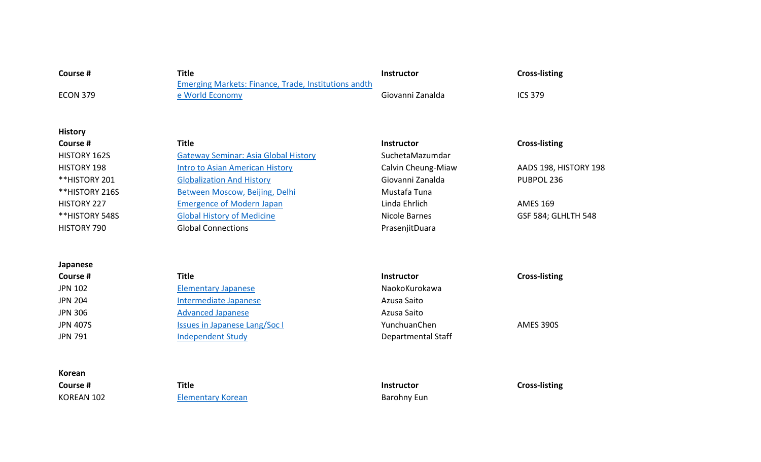| Course #           | <b>Title</b>                                                | <b>Instructor</b>  | <b>Cross-listing</b>  |
|--------------------|-------------------------------------------------------------|--------------------|-----------------------|
|                    | <b>Emerging Markets: Finance, Trade, Institutions andth</b> |                    |                       |
| <b>ECON 379</b>    | e World Economy                                             | Giovanni Zanalda   | <b>ICS 379</b>        |
|                    |                                                             |                    |                       |
| <b>History</b>     |                                                             |                    |                       |
| Course #           | <b>Title</b>                                                | <b>Instructor</b>  | <b>Cross-listing</b>  |
| HISTORY 162S       | <b>Gateway Seminar: Asia Global History</b>                 | SuchetaMazumdar    |                       |
| <b>HISTORY 198</b> | <b>Intro to Asian American History</b>                      | Calvin Cheung-Miaw | AADS 198, HISTORY 198 |
| **HISTORY 201      | <b>Globalization And History</b>                            | Giovanni Zanalda   | PUBPOL 236            |
| **HISTORY 216S     | Between Moscow, Beijing, Delhi                              | Mustafa Tuna       |                       |
| <b>HISTORY 227</b> | <b>Emergence of Modern Japan</b>                            | Linda Ehrlich      | <b>AMES 169</b>       |
| **HISTORY 548S     | <b>Global History of Medicine</b>                           | Nicole Barnes      | GSF 584; GLHLTH 548   |
| HISTORY 790        | <b>Global Connections</b>                                   | PrasenjitDuara     |                       |
|                    |                                                             |                    |                       |
| Japanese           |                                                             |                    |                       |
| Course #           | <b>Title</b>                                                | <b>Instructor</b>  | <b>Cross-listing</b>  |
| <b>JPN 102</b>     | <b>Elementary Japanese</b>                                  | NaokoKurokawa      |                       |
| <b>JPN 204</b>     | Intermediate Japanese                                       | Azusa Saito        |                       |
| <b>JPN 306</b>     | <b>Advanced Japanese</b>                                    | Azusa Saito        |                       |
| <b>JPN 407S</b>    | <b>Issues in Japanese Lang/Soc I</b>                        | YunchuanChen       | AMES 390S             |
| <b>JPN 791</b>     | <b>Independent Study</b>                                    | Departmental Staff |                       |
|                    |                                                             |                    |                       |
|                    |                                                             |                    |                       |
| Korean             |                                                             |                    |                       |

**Course # Title Instructor Cross-listing**

KOREAN 102 **[Elementary](https://asianmideast.duke.edu/courses/elementary-korean-0) Korean** Barohny Eun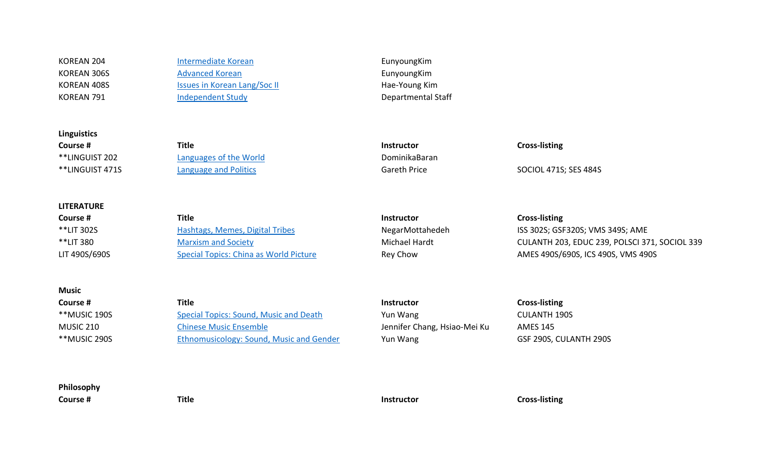**Linguistics**

**LITERATURE**

KOREAN 204 [Intermediate](https://asianmideast.duke.edu/courses/intermediate-korean-0) Korean **Intermediate Korean** EunyoungKim KOREAN 306S [Advanced](https://asianmideast.duke.edu/courses/advanced-korean-0) Korean EunyoungKim KOREAN 408S **ISSUES In Korean [Lang/Soc](https://asianmideast.duke.edu/courses/issues-korean-language-and-society-ii) II Hae-Young Kim** KOREAN 791 **[Independent Study](https://asianmideast.duke.edu/courses/independent-study-7) Independent Study Departmental Staff** 

**Course # Title Instructor Cross-listing** \*\*LINGUIST 202 [Languages](https://linguisticsprogram.duke.edu/courses/languages-world) of the World **Example 202** DominikaBaran \*\*LINGUIST 471S [Language](https://linguisticsprogram.duke.edu/courses/language-and-politics-global-perspectives) and Politics **Gareth Price** Gareth Price SOCIOL 471S; SES 484S

**Course # Title Instructor Cross-listing** \*\*LIT 302S [Hashtags,](https://literature.duke.edu/courses/hashtags-memes-digital-tribes-0) Memes, Digital Tribes 
NegarMottahedeh 
ISS 302S; GSF320S; VMS 349S; AME \*\*LIT 380 [Marxism and Society](https://literature.duke.edu/courses/marxism-and-society) Marxism and Society Michael Hardt CULANTH 203, EDUC 239, POLSCI 371, SOCIOL 339 LIT 490S/690S [Special Topics: China as World Picture](https://literature.duke.edu/courses/special-topics-literature-5) Rey Chow Reversion AMES 490S/690S, ICS 490S, VMS 490S

**Course # Title Instructor Cross-listing** \*\*MUSIC 190S [Special Topics: Sound, Music and Death](https://music.duke.edu/courses/special-topics-music) Yun Wang CULANTH 190S MUSIC 210 Chinese Music [Ensemble](https://music.duke.edu/courses/chinese-music-ensemble) Jennifer Chang, Hsiao-Mei Ku AMES 145 \*\*MUSIC 290S [Ethnomusicology: Sound, Music and Gender](https://music.duke.edu/courses/special-topics-ethnomusicology) Yun Wang GSF 290S, CULANTH 290S

**Philosophy**

**Music**

**Course # Title Instructor Cross-listing**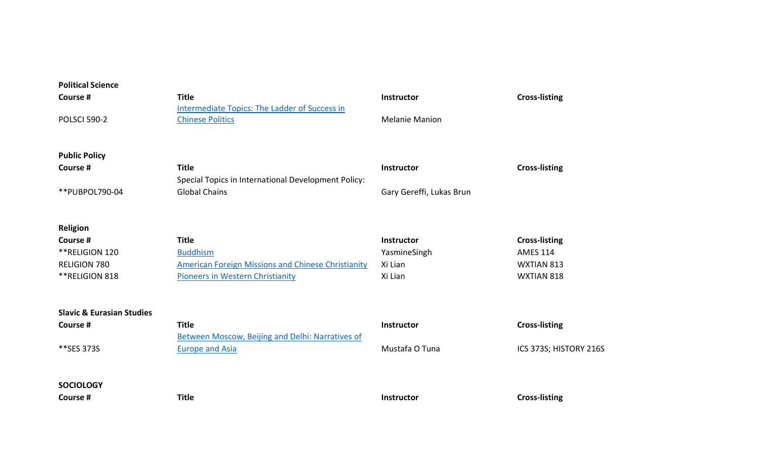| <b>Political Science</b>             |                                                                          |                          |                        |
|--------------------------------------|--------------------------------------------------------------------------|--------------------------|------------------------|
| Course #                             | <b>Title</b>                                                             | <b>Instructor</b>        | <b>Cross-listing</b>   |
| <b>POLSCI 590-2</b>                  | Intermediate Topics: The Ladder of Success in<br><b>Chinese Politics</b> | <b>Melanie Manion</b>    |                        |
|                                      |                                                                          |                          |                        |
| <b>Public Policy</b>                 |                                                                          |                          |                        |
| Course #                             | <b>Title</b>                                                             | Instructor               | <b>Cross-listing</b>   |
|                                      | Special Topics in International Development Policy:                      |                          |                        |
| **PUBPOL790-04                       | <b>Global Chains</b>                                                     | Gary Gereffi, Lukas Brun |                        |
|                                      |                                                                          |                          |                        |
| Religion                             |                                                                          |                          |                        |
| Course #                             | <b>Title</b>                                                             | <b>Instructor</b>        | <b>Cross-listing</b>   |
| ** RELIGION 120                      | <b>Buddhism</b>                                                          | YasmineSingh             | <b>AMES 114</b>        |
| <b>RELIGION 780</b>                  | <b>American Foreign Missions and Chinese Christianity</b>                | Xi Lian                  | WXTIAN 813             |
| **RELIGION 818                       | <b>Pioneers in Western Christianity</b>                                  | Xi Lian                  | WXTIAN 818             |
|                                      |                                                                          |                          |                        |
| <b>Slavic &amp; Eurasian Studies</b> |                                                                          |                          |                        |
| Course #                             | <b>Title</b>                                                             | Instructor               | <b>Cross-listing</b>   |
|                                      | Between Moscow, Beijing and Delhi: Narratives of                         |                          |                        |
| **SES 373S                           | <b>Europe and Asia</b>                                                   | Mustafa O Tuna           | ICS 373S; HISTORY 216S |
|                                      |                                                                          |                          |                        |
| <b>SOCIOLOGY</b>                     |                                                                          |                          |                        |
| Course #                             | <b>Title</b>                                                             | Instructor               | <b>Cross-listing</b>   |
|                                      |                                                                          |                          |                        |